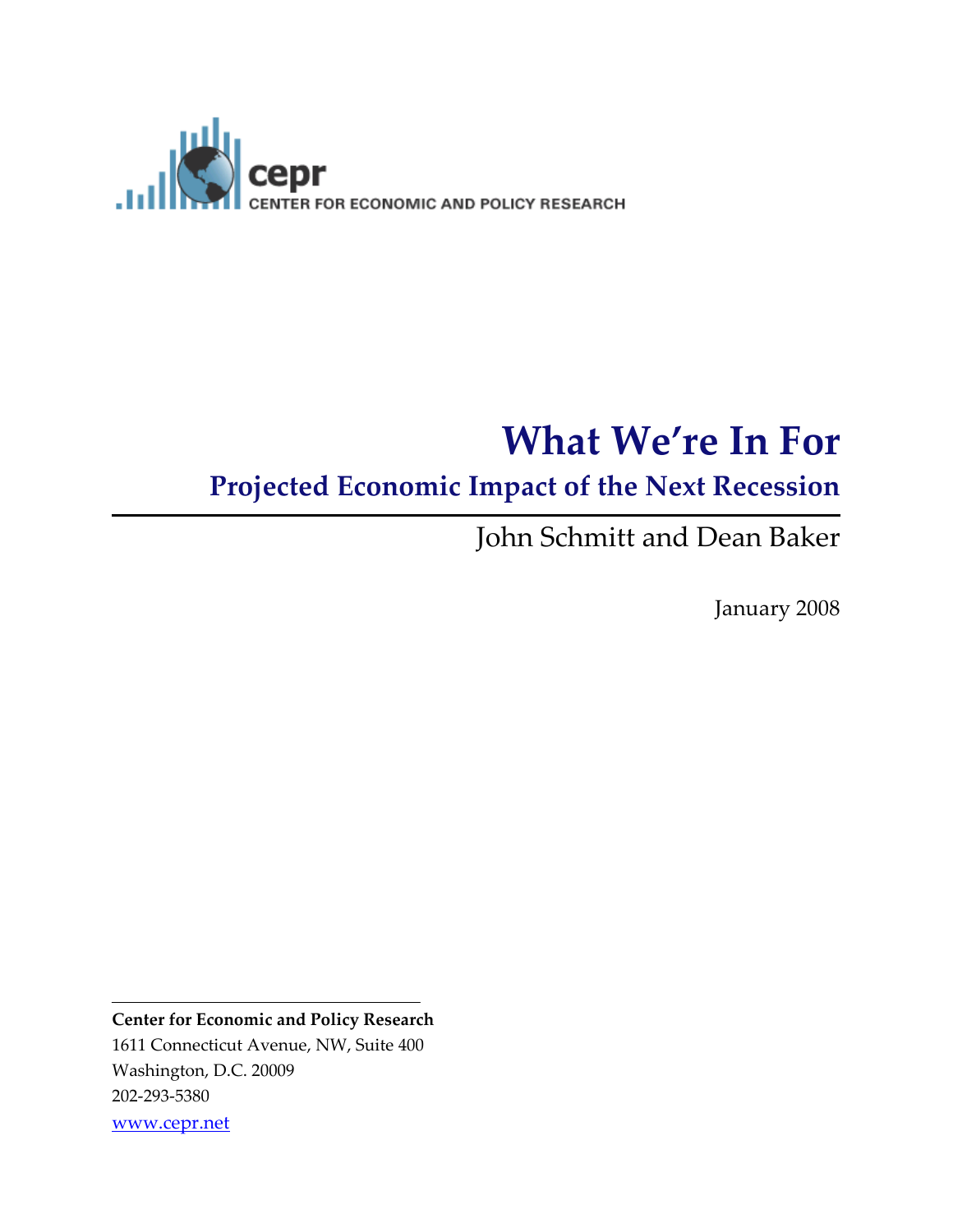

# What We're In For

### Projected Economic Impact of the Next Recession

John Schmitt and Dean Baker

January 2008

Center for Economic and Policy Research 1611 Connecticut Avenue, NW, Suite 400 Washington, D.C. 20009 202-293-5380 www.cepr.net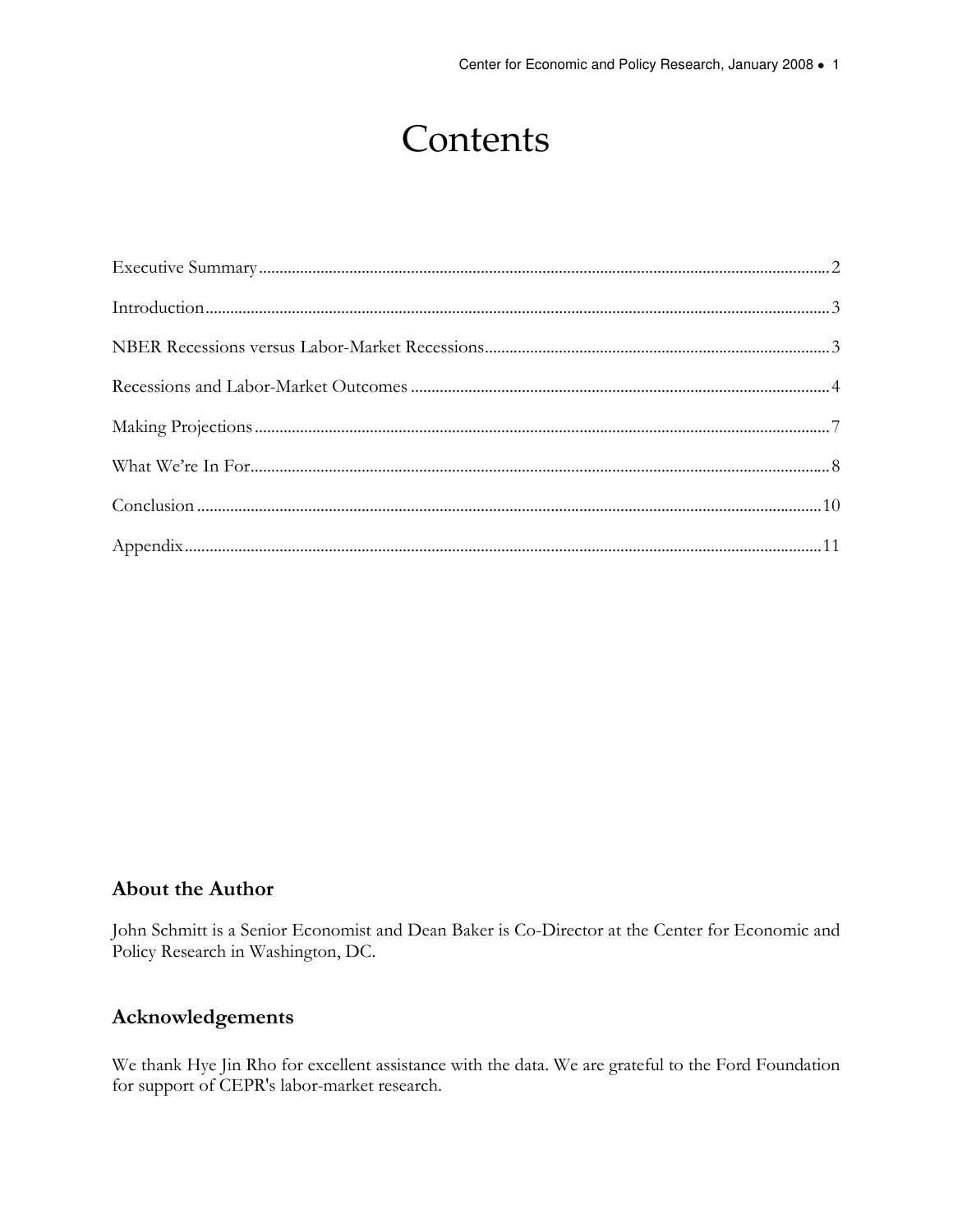# **Contents**

#### About the Author

John Schmitt is a Senior Economist and Dean Baker is Co-Director at the Center for Economic and Policy Research in Washington, DC.

#### Acknowledgements

We thank Hye Jin Rho for excellent assistance with the data. We are grateful to the Ford Foundation for support of CEPR's labor-market research.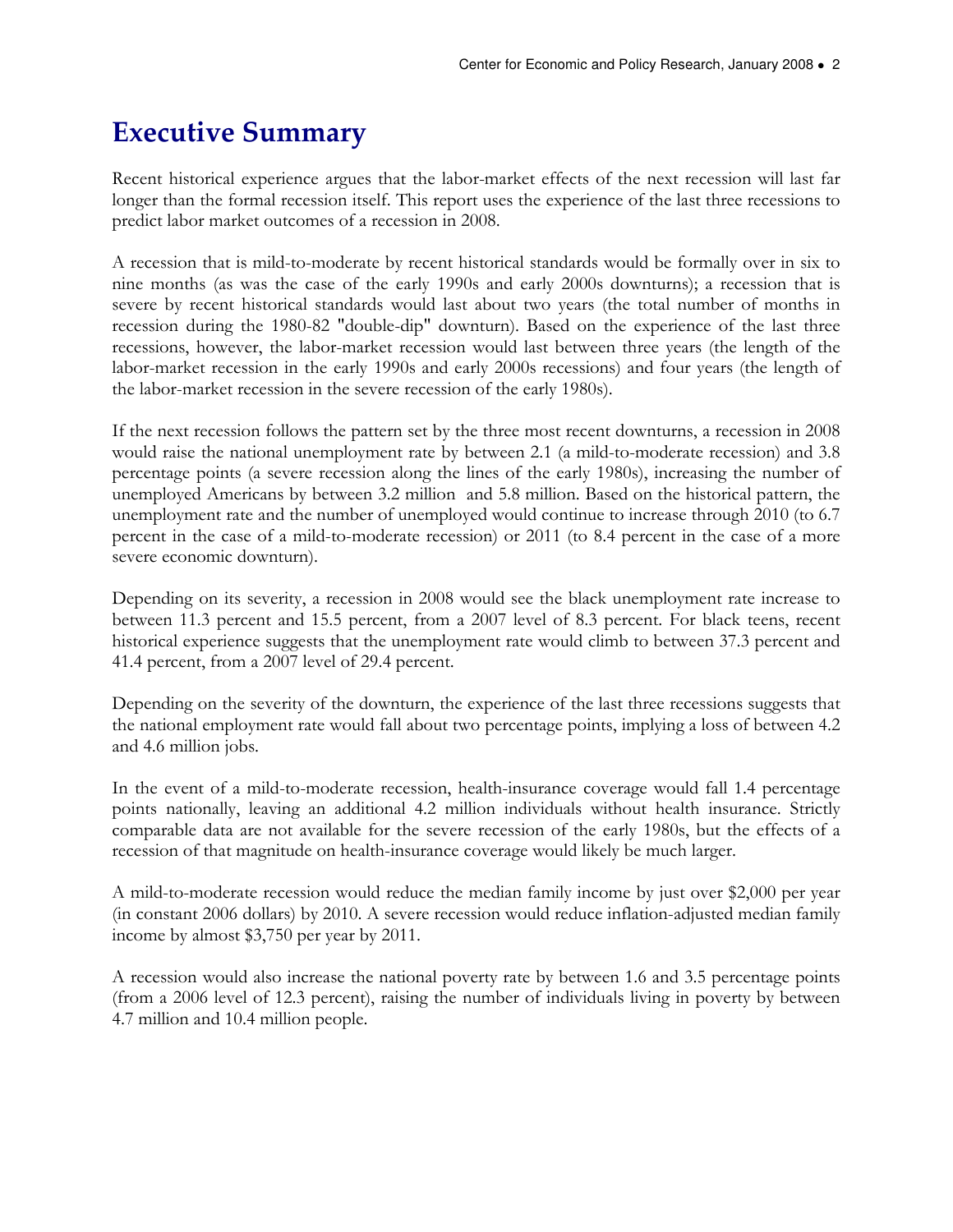### Executive Summary

Recent historical experience argues that the labor-market effects of the next recession will last far longer than the formal recession itself. This report uses the experience of the last three recessions to predict labor market outcomes of a recession in 2008.

A recession that is mild-to-moderate by recent historical standards would be formally over in six to nine months (as was the case of the early 1990s and early 2000s downturns); a recession that is severe by recent historical standards would last about two years (the total number of months in recession during the 1980-82 "double-dip" downturn). Based on the experience of the last three recessions, however, the labor-market recession would last between three years (the length of the labor-market recession in the early 1990s and early 2000s recessions) and four years (the length of the labor-market recession in the severe recession of the early 1980s).

If the next recession follows the pattern set by the three most recent downturns, a recession in 2008 would raise the national unemployment rate by between 2.1 (a mild-to-moderate recession) and 3.8 percentage points (a severe recession along the lines of the early 1980s), increasing the number of unemployed Americans by between 3.2 million and 5.8 million. Based on the historical pattern, the unemployment rate and the number of unemployed would continue to increase through 2010 (to 6.7 percent in the case of a mild-to-moderate recession) or 2011 (to 8.4 percent in the case of a more severe economic downturn).

Depending on its severity, a recession in 2008 would see the black unemployment rate increase to between 11.3 percent and 15.5 percent, from a 2007 level of 8.3 percent. For black teens, recent historical experience suggests that the unemployment rate would climb to between 37.3 percent and 41.4 percent, from a 2007 level of 29.4 percent.

Depending on the severity of the downturn, the experience of the last three recessions suggests that the national employment rate would fall about two percentage points, implying a loss of between 4.2 and 4.6 million jobs.

In the event of a mild-to-moderate recession, health-insurance coverage would fall 1.4 percentage points nationally, leaving an additional 4.2 million individuals without health insurance. Strictly comparable data are not available for the severe recession of the early 1980s, but the effects of a recession of that magnitude on health-insurance coverage would likely be much larger.

A mild-to-moderate recession would reduce the median family income by just over \$2,000 per year (in constant 2006 dollars) by 2010. A severe recession would reduce inflation-adjusted median family income by almost \$3,750 per year by 2011.

A recession would also increase the national poverty rate by between 1.6 and 3.5 percentage points (from a 2006 level of 12.3 percent), raising the number of individuals living in poverty by between 4.7 million and 10.4 million people.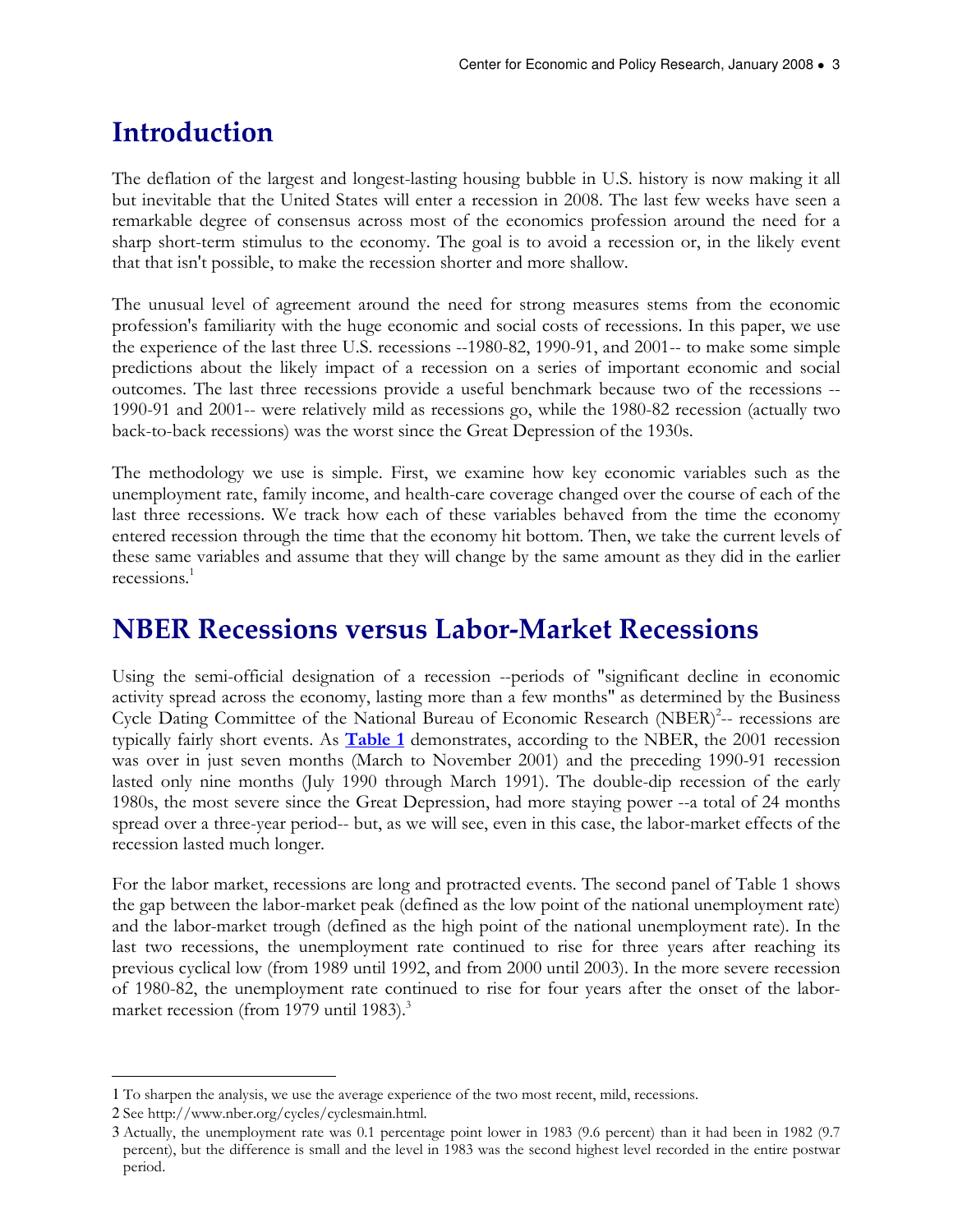### Introduction

The deflation of the largest and longest-lasting housing bubble in U.S. history is now making it all but inevitable that the United States will enter a recession in 2008. The last few weeks have seen a remarkable degree of consensus across most of the economics profession around the need for a sharp short-term stimulus to the economy. The goal is to avoid a recession or, in the likely event that that isn't possible, to make the recession shorter and more shallow.

The unusual level of agreement around the need for strong measures stems from the economic profession's familiarity with the huge economic and social costs of recessions. In this paper, we use the experience of the last three U.S. recessions --1980-82, 1990-91, and 2001-- to make some simple predictions about the likely impact of a recession on a series of important economic and social outcomes. The last three recessions provide a useful benchmark because two of the recessions -- 1990-91 and 2001-- were relatively mild as recessions go, while the 1980-82 recession (actually two back-to-back recessions) was the worst since the Great Depression of the 1930s.

The methodology we use is simple. First, we examine how key economic variables such as the unemployment rate, family income, and health-care coverage changed over the course of each of the last three recessions. We track how each of these variables behaved from the time the economy entered recession through the time that the economy hit bottom. Then, we take the current levels of these same variables and assume that they will change by the same amount as they did in the earlier recessions.<sup>1</sup>

### NBER Recessions versus Labor-Market Recessions

Using the semi-official designation of a recession --periods of "significant decline in economic activity spread across the economy, lasting more than a few months" as determined by the Business Cycle Dating Committee of the National Bureau of Economic Research (NBER)<sup>2</sup>-- recessions are typically fairly short events. As  $Table 1$  demonstrates, according to the NBER, the 2001 recession was over in just seven months (March to November 2001) and the preceding 1990-91 recession lasted only nine months (July 1990 through March 1991). The double-dip recession of the early 1980s, the most severe since the Great Depression, had more staying power --a total of 24 months spread over a three-year period-- but, as we will see, even in this case, the labor-market effects of the recession lasted much longer.

For the labor market, recessions are long and protracted events. The second panel of Table 1 shows the gap between the labor-market peak (defined as the low point of the national unemployment rate) and the labor-market trough (defined as the high point of the national unemployment rate). In the last two recessions, the unemployment rate continued to rise for three years after reaching its previous cyclical low (from 1989 until 1992, and from 2000 until 2003). In the more severe recession of 1980-82, the unemployment rate continued to rise for four years after the onset of the labormarket recession (from 1979 until 1983).<sup>3</sup>

 $\overline{a}$ 

<sup>1</sup> To sharpen the analysis, we use the average experience of the two most recent, mild, recessions.

<sup>2</sup> See http://www.nber.org/cycles/cyclesmain.html.

<sup>3</sup> Actually, the unemployment rate was 0.1 percentage point lower in 1983 (9.6 percent) than it had been in 1982 (9.7 percent), but the difference is small and the level in 1983 was the second highest level recorded in the entire postwar period.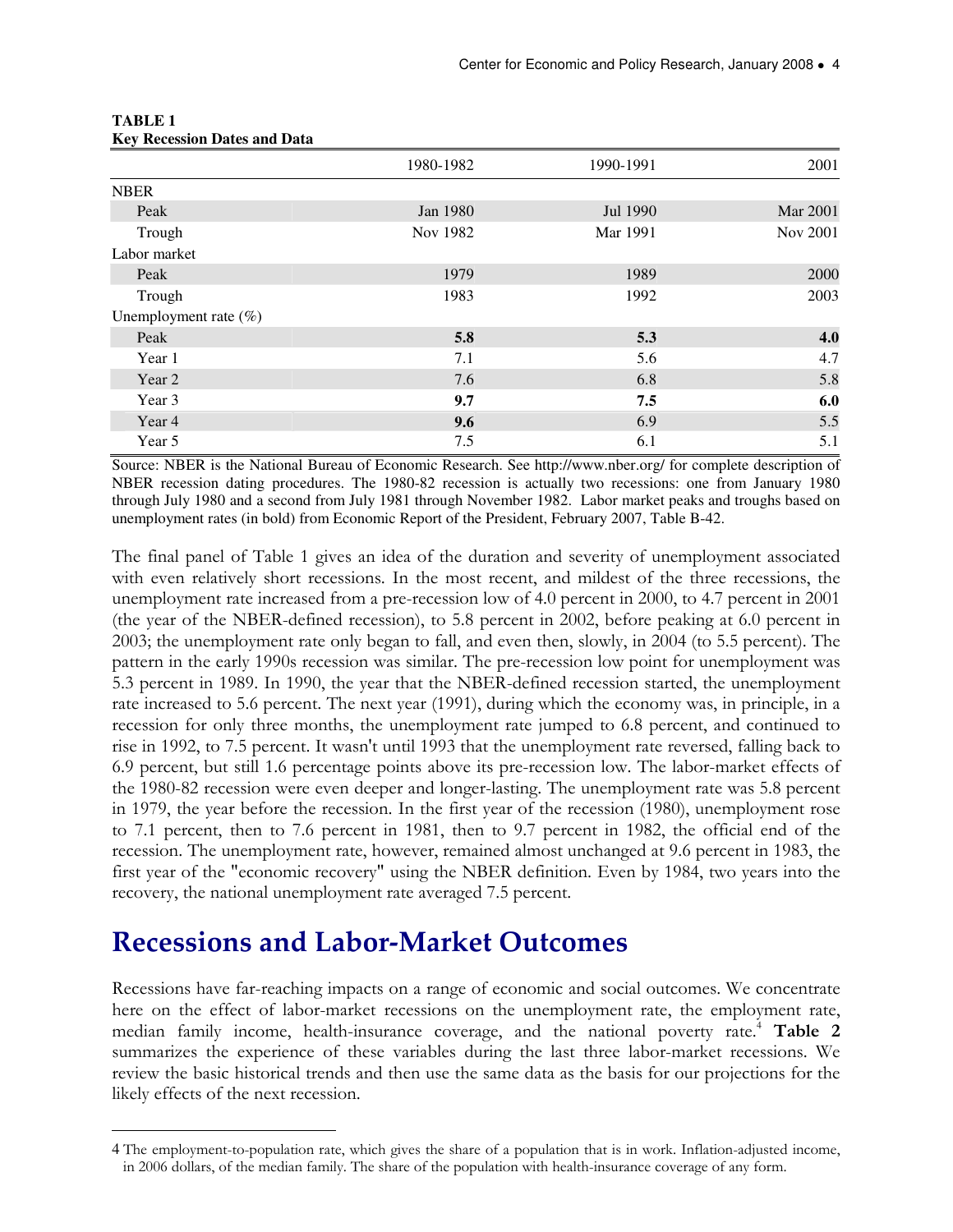|                          | 1980-1982 | 1990-1991 | 2001            |
|--------------------------|-----------|-----------|-----------------|
| <b>NBER</b>              |           |           |                 |
| Peak                     | Jan 1980  | Jul 1990  | <b>Mar 2001</b> |
| Trough                   | Nov 1982  | Mar 1991  | Nov 2001        |
| Labor market             |           |           |                 |
| Peak                     | 1979      | 1989      | 2000            |
| Trough                   | 1983      | 1992      | 2003            |
| Unemployment rate $(\%)$ |           |           |                 |
| Peak                     | 5.8       | 5.3       | 4.0             |
| Year 1                   | 7.1       | 5.6       | 4.7             |
| Year 2                   | 7.6       | 6.8       | 5.8             |
| Year 3                   | 9.7       | 7.5       | 6.0             |
| Year 4                   | 9.6       | 6.9       | 5.5             |
| Year 5                   | 7.5       | 6.1       | 5.1             |

#### **TABLE 1 Key Recession Dates and Data**

Source: NBER is the National Bureau of Economic Research. See http://www.nber.org/ for complete description of NBER recession dating procedures. The 1980-82 recession is actually two recessions: one from January 1980 through July 1980 and a second from July 1981 through November 1982. Labor market peaks and troughs based on unemployment rates (in bold) from Economic Report of the President, February 2007, Table B-42.

The final panel of Table 1 gives an idea of the duration and severity of unemployment associated with even relatively short recessions. In the most recent, and mildest of the three recessions, the unemployment rate increased from a pre-recession low of 4.0 percent in 2000, to 4.7 percent in 2001 (the year of the NBER-defined recession), to 5.8 percent in 2002, before peaking at 6.0 percent in 2003; the unemployment rate only began to fall, and even then, slowly, in 2004 (to 5.5 percent). The pattern in the early 1990s recession was similar. The pre-recession low point for unemployment was 5.3 percent in 1989. In 1990, the year that the NBER-defined recession started, the unemployment rate increased to 5.6 percent. The next year (1991), during which the economy was, in principle, in a recession for only three months, the unemployment rate jumped to 6.8 percent, and continued to rise in 1992, to 7.5 percent. It wasn't until 1993 that the unemployment rate reversed, falling back to 6.9 percent, but still 1.6 percentage points above its pre-recession low. The labor-market effects of the 1980-82 recession were even deeper and longer-lasting. The unemployment rate was 5.8 percent in 1979, the year before the recession. In the first year of the recession (1980), unemployment rose to 7.1 percent, then to 7.6 percent in 1981, then to 9.7 percent in 1982, the official end of the recession. The unemployment rate, however, remained almost unchanged at 9.6 percent in 1983, the first year of the "economic recovery" using the NBER definition. Even by 1984, two years into the recovery, the national unemployment rate averaged 7.5 percent.

#### Recessions and Labor-Market Outcomes

 $\overline{a}$ 

Recessions have far-reaching impacts on a range of economic and social outcomes. We concentrate here on the effect of labor-market recessions on the unemployment rate, the employment rate, median family income, health-insurance coverage, and the national poverty rate.<sup>4</sup> Table 2 summarizes the experience of these variables during the last three labor-market recessions. We review the basic historical trends and then use the same data as the basis for our projections for the likely effects of the next recession.

<sup>4</sup> The employment-to-population rate, which gives the share of a population that is in work. Inflation-adjusted income, in 2006 dollars, of the median family. The share of the population with health-insurance coverage of any form.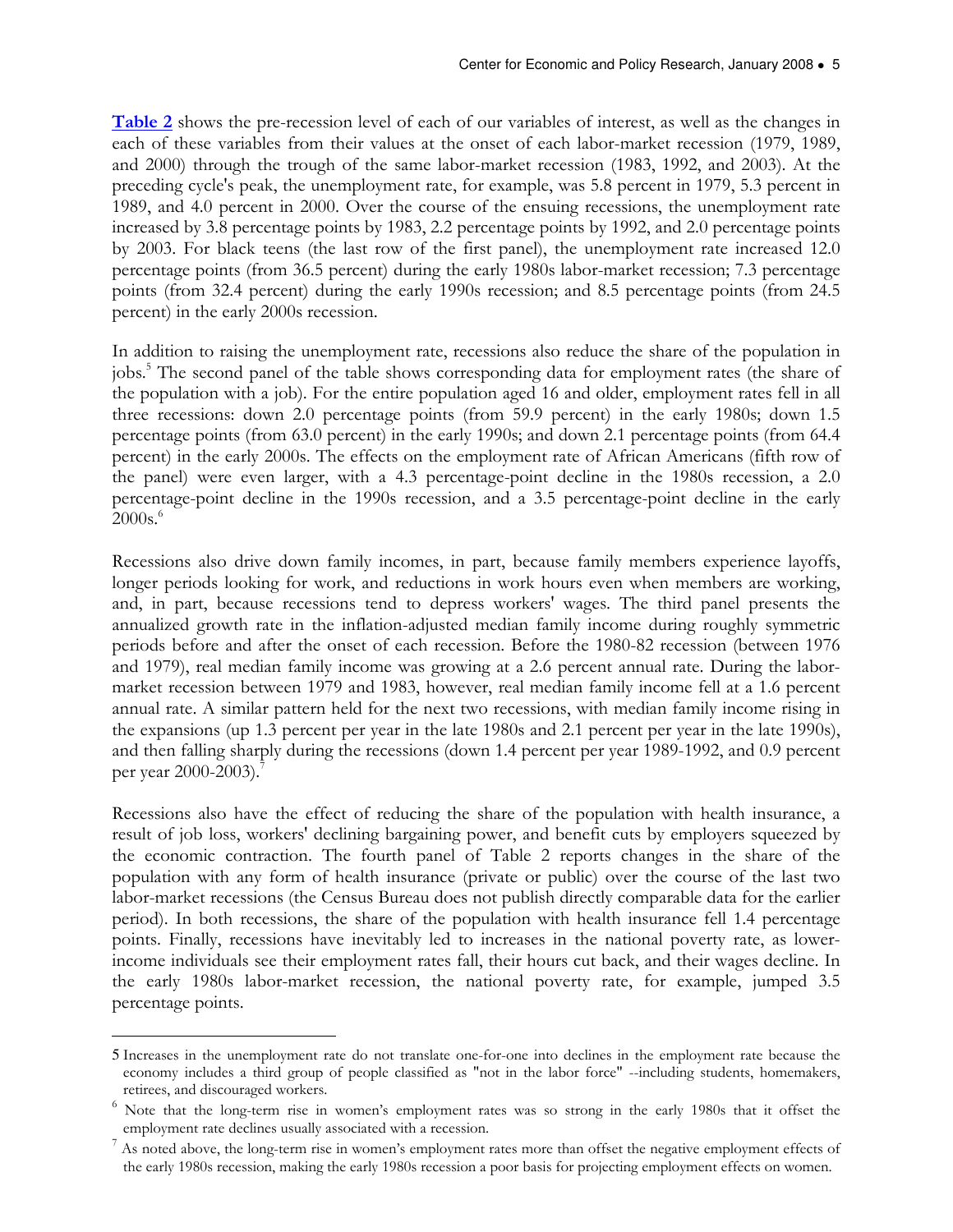Table 2 shows the pre-recession level of each of our variables of interest, as well as the changes in each of these variables from their values at the onset of each labor-market recession (1979, 1989, and 2000) through the trough of the same labor-market recession (1983, 1992, and 2003). At the preceding cycle's peak, the unemployment rate, for example, was 5.8 percent in 1979, 5.3 percent in 1989, and 4.0 percent in 2000. Over the course of the ensuing recessions, the unemployment rate increased by 3.8 percentage points by 1983, 2.2 percentage points by 1992, and 2.0 percentage points by 2003. For black teens (the last row of the first panel), the unemployment rate increased 12.0 percentage points (from 36.5 percent) during the early 1980s labor-market recession; 7.3 percentage points (from 32.4 percent) during the early 1990s recession; and 8.5 percentage points (from 24.5 percent) in the early 2000s recession.

In addition to raising the unemployment rate, recessions also reduce the share of the population in jobs.<sup>5</sup> The second panel of the table shows corresponding data for employment rates (the share of the population with a job). For the entire population aged 16 and older, employment rates fell in all three recessions: down 2.0 percentage points (from 59.9 percent) in the early 1980s; down 1.5 percentage points (from 63.0 percent) in the early 1990s; and down 2.1 percentage points (from 64.4 percent) in the early 2000s. The effects on the employment rate of African Americans (fifth row of the panel) were even larger, with a 4.3 percentage-point decline in the 1980s recession, a 2.0 percentage-point decline in the 1990s recession, and a 3.5 percentage-point decline in the early  $2000s.<sup>6</sup>$ 

Recessions also drive down family incomes, in part, because family members experience layoffs, longer periods looking for work, and reductions in work hours even when members are working, and, in part, because recessions tend to depress workers' wages. The third panel presents the annualized growth rate in the inflation-adjusted median family income during roughly symmetric periods before and after the onset of each recession. Before the 1980-82 recession (between 1976 and 1979), real median family income was growing at a 2.6 percent annual rate. During the labormarket recession between 1979 and 1983, however, real median family income fell at a 1.6 percent annual rate. A similar pattern held for the next two recessions, with median family income rising in the expansions (up 1.3 percent per year in the late 1980s and 2.1 percent per year in the late 1990s), and then falling sharply during the recessions (down 1.4 percent per year 1989-1992, and 0.9 percent per year 2000-2003).<sup>7</sup>

Recessions also have the effect of reducing the share of the population with health insurance, a result of job loss, workers' declining bargaining power, and benefit cuts by employers squeezed by the economic contraction. The fourth panel of Table 2 reports changes in the share of the population with any form of health insurance (private or public) over the course of the last two labor-market recessions (the Census Bureau does not publish directly comparable data for the earlier period). In both recessions, the share of the population with health insurance fell 1.4 percentage points. Finally, recessions have inevitably led to increases in the national poverty rate, as lowerincome individuals see their employment rates fall, their hours cut back, and their wages decline. In the early 1980s labor-market recession, the national poverty rate, for example, jumped 3.5 percentage points.

 $\overline{a}$ 

<sup>5</sup> Increases in the unemployment rate do not translate one-for-one into declines in the employment rate because the economy includes a third group of people classified as "not in the labor force" --including students, homemakers, retirees, and discouraged workers.

<sup>&</sup>lt;sup>6</sup> Note that the long-term rise in women's employment rates was so strong in the early 1980s that it offset the employment rate declines usually associated with a recession.

<sup>7</sup> As noted above, the long-term rise in women's employment rates more than offset the negative employment effects of the early 1980s recession, making the early 1980s recession a poor basis for projecting employment effects on women.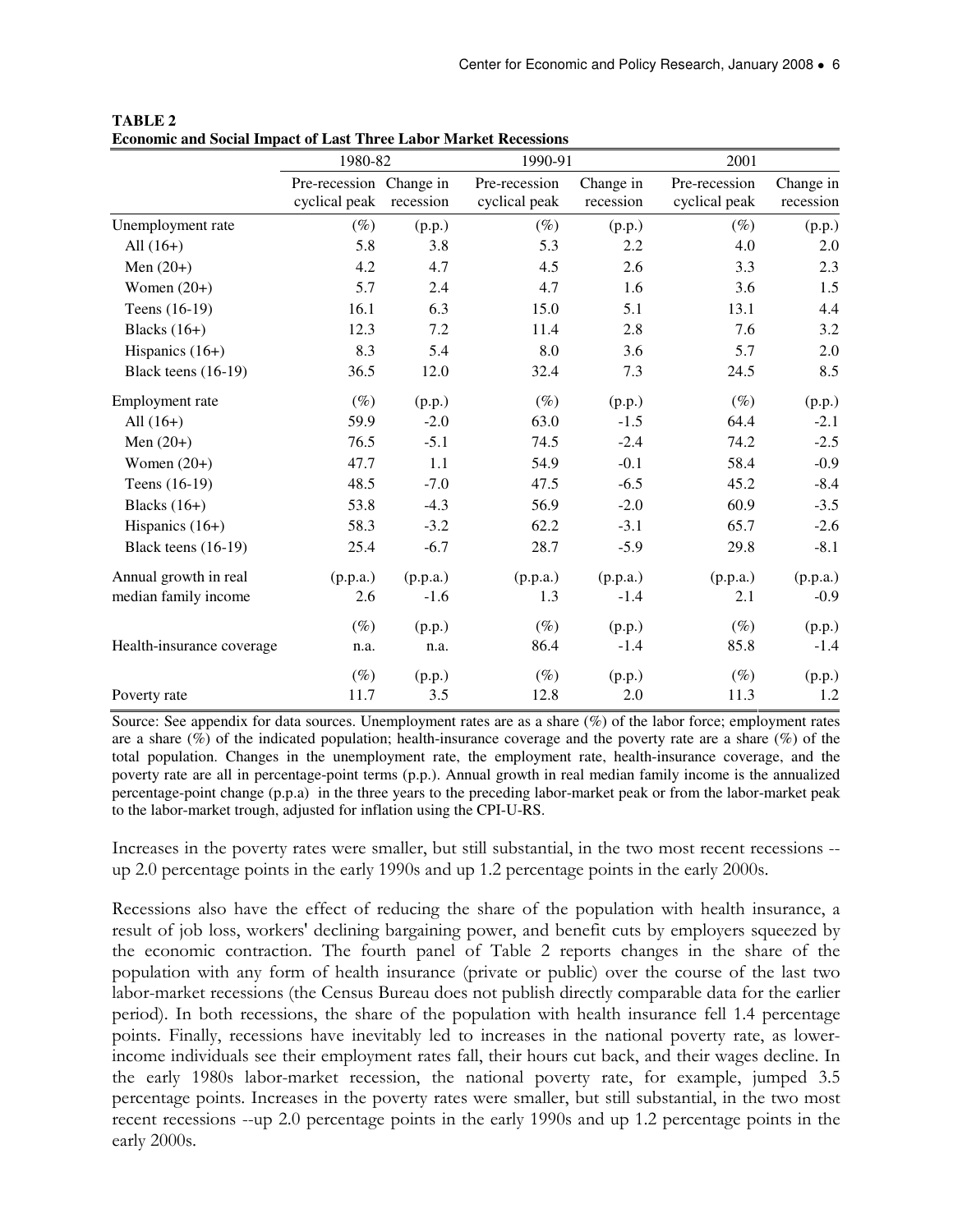|                           | 1980-82                                  |           | 1990-91                        |                        | 2001                           |                        |
|---------------------------|------------------------------------------|-----------|--------------------------------|------------------------|--------------------------------|------------------------|
|                           | Pre-recession Change in<br>cyclical peak | recession | Pre-recession<br>cyclical peak | Change in<br>recession | Pre-recession<br>cyclical peak | Change in<br>recession |
| Unemployment rate         | $(\%)$                                   | (p.p.)    | $(\%)$                         | (p.p.)                 | $(\%)$                         | (p.p.)                 |
| All $(16+)$               | 5.8                                      | 3.8       | 5.3                            | 2.2                    | 4.0                            | 2.0                    |
| Men $(20+)$               | 4.2                                      | 4.7       | 4.5                            | 2.6                    | 3.3                            | 2.3                    |
| Women $(20+)$             | 5.7                                      | 2.4       | 4.7                            | 1.6                    | 3.6                            | 1.5                    |
| Teens (16-19)             | 16.1                                     | 6.3       | 15.0                           | 5.1                    | 13.1                           | 4.4                    |
| Blacks $(16+)$            | 12.3                                     | 7.2       | 11.4                           | 2.8                    | 7.6                            | 3.2                    |
| Hispanics $(16+)$         | 8.3                                      | 5.4       | 8.0                            | 3.6                    | 5.7                            | 2.0                    |
| Black teens (16-19)       | 36.5                                     | 12.0      | 32.4                           | 7.3                    | 24.5                           | 8.5                    |
| Employment rate           | $(\%)$                                   | (p.p.)    | $(\%)$                         | (p.p.)                 | $(\%)$                         | (p.p.)                 |
| All $(16+)$               | 59.9                                     | $-2.0$    | 63.0                           | $-1.5$                 | 64.4                           | $-2.1$                 |
| Men $(20+)$               | 76.5                                     | $-5.1$    | 74.5                           | $-2.4$                 | 74.2                           | $-2.5$                 |
| Women $(20+)$             | 47.7                                     | 1.1       | 54.9                           | $-0.1$                 | 58.4                           | $-0.9$                 |
| Teens (16-19)             | 48.5                                     | $-7.0$    | 47.5                           | $-6.5$                 | 45.2                           | $-8.4$                 |
| Blacks $(16+)$            | 53.8                                     | $-4.3$    | 56.9                           | $-2.0$                 | 60.9                           | $-3.5$                 |
| Hispanics $(16+)$         | 58.3                                     | $-3.2$    | 62.2                           | $-3.1$                 | 65.7                           | $-2.6$                 |
| Black teens $(16-19)$     | 25.4                                     | $-6.7$    | 28.7                           | $-5.9$                 | 29.8                           | $-8.1$                 |
| Annual growth in real     | (p.p.a.)                                 | (p.p.a.)  | (p.p.a.)                       | (p.p.a.)               | (p.p.a.)                       | (p.p.a.)               |
| median family income      | 2.6                                      | $-1.6$    | 1.3                            | $-1.4$                 | 2.1                            | $-0.9$                 |
|                           | $(\%)$                                   | (p.p.)    | $(\%)$                         | (p.p.)                 | $(\%)$                         | (p.p.)                 |
| Health-insurance coverage | n.a.                                     | n.a.      | 86.4                           | $-1.4$                 | 85.8                           | $-1.4$                 |
|                           | $(\%)$                                   | (p.p.)    | $(\%)$                         | (p.p.)                 | $(\%)$                         | (p.p.)                 |
| Poverty rate              | 11.7                                     | 3.5       | 12.8                           | 2.0                    | 11.3                           | 1.2                    |

**TABLE 2 Economic and Social Impact of Last Three Labor Market Recessions**

Source: See appendix for data sources. Unemployment rates are as a share (%) of the labor force; employment rates are a share  $(\%)$  of the indicated population; health-insurance coverage and the poverty rate are a share  $(\%)$  of the total population. Changes in the unemployment rate, the employment rate, health-insurance coverage, and the poverty rate are all in percentage-point terms (p.p.). Annual growth in real median family income is the annualized percentage-point change (p.p.a) in the three years to the preceding labor-market peak or from the labor-market peak to the labor-market trough, adjusted for inflation using the CPI-U-RS.

Increases in the poverty rates were smaller, but still substantial, in the two most recent recessions - up 2.0 percentage points in the early 1990s and up 1.2 percentage points in the early 2000s.

Recessions also have the effect of reducing the share of the population with health insurance, a result of job loss, workers' declining bargaining power, and benefit cuts by employers squeezed by the economic contraction. The fourth panel of Table 2 reports changes in the share of the population with any form of health insurance (private or public) over the course of the last two labor-market recessions (the Census Bureau does not publish directly comparable data for the earlier period). In both recessions, the share of the population with health insurance fell 1.4 percentage points. Finally, recessions have inevitably led to increases in the national poverty rate, as lowerincome individuals see their employment rates fall, their hours cut back, and their wages decline. In the early 1980s labor-market recession, the national poverty rate, for example, jumped 3.5 percentage points. Increases in the poverty rates were smaller, but still substantial, in the two most recent recessions --up 2.0 percentage points in the early 1990s and up 1.2 percentage points in the early 2000s.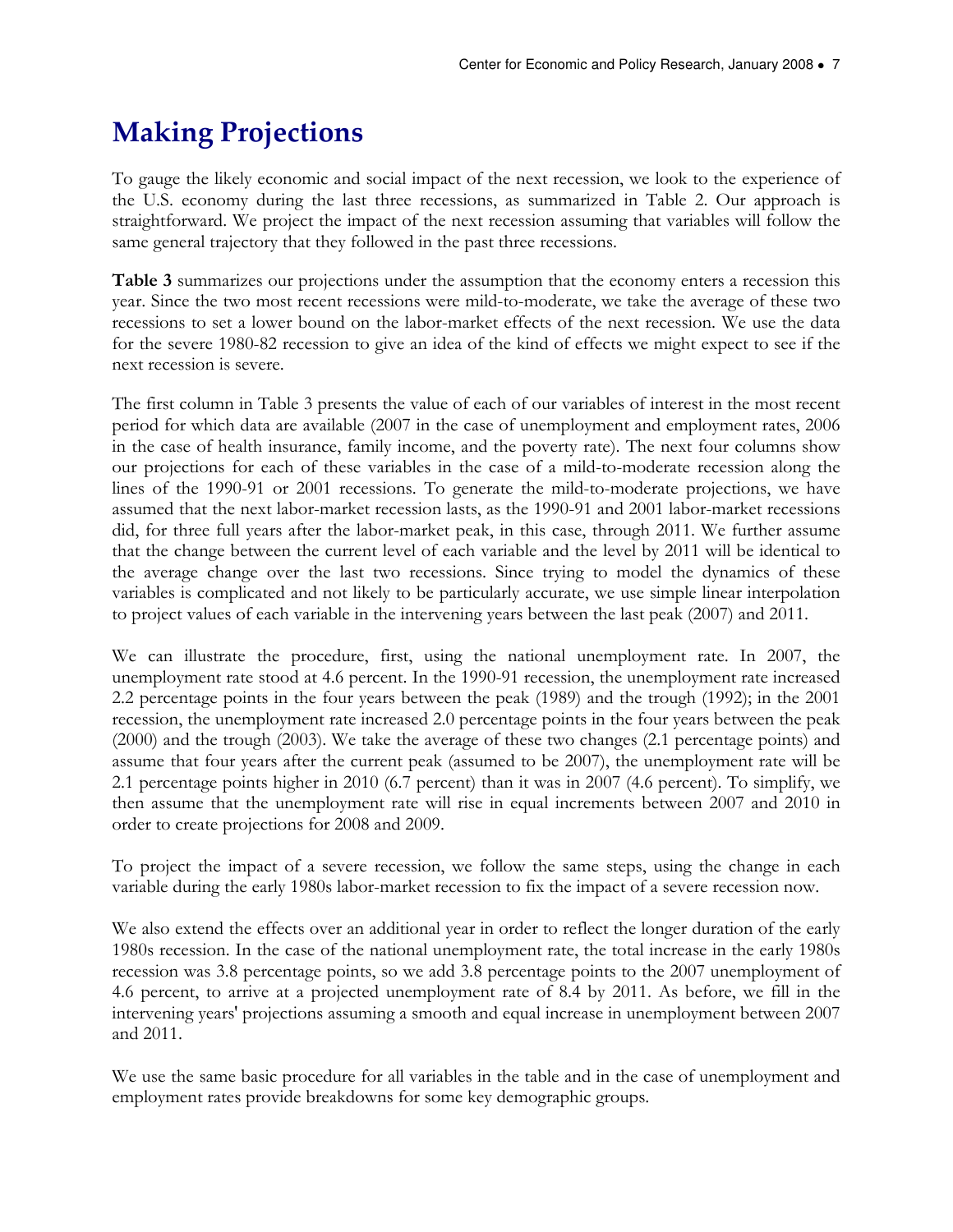### Making Projections

To gauge the likely economic and social impact of the next recession, we look to the experience of the U.S. economy during the last three recessions, as summarized in Table 2. Our approach is straightforward. We project the impact of the next recession assuming that variables will follow the same general trajectory that they followed in the past three recessions.

Table 3 summarizes our projections under the assumption that the economy enters a recession this year. Since the two most recent recessions were mild-to-moderate, we take the average of these two recessions to set a lower bound on the labor-market effects of the next recession. We use the data for the severe 1980-82 recession to give an idea of the kind of effects we might expect to see if the next recession is severe.

The first column in Table 3 presents the value of each of our variables of interest in the most recent period for which data are available (2007 in the case of unemployment and employment rates, 2006 in the case of health insurance, family income, and the poverty rate). The next four columns show our projections for each of these variables in the case of a mild-to-moderate recession along the lines of the 1990-91 or 2001 recessions. To generate the mild-to-moderate projections, we have assumed that the next labor-market recession lasts, as the 1990-91 and 2001 labor-market recessions did, for three full years after the labor-market peak, in this case, through 2011. We further assume that the change between the current level of each variable and the level by 2011 will be identical to the average change over the last two recessions. Since trying to model the dynamics of these variables is complicated and not likely to be particularly accurate, we use simple linear interpolation to project values of each variable in the intervening years between the last peak (2007) and 2011.

We can illustrate the procedure, first, using the national unemployment rate. In 2007, the unemployment rate stood at 4.6 percent. In the 1990-91 recession, the unemployment rate increased 2.2 percentage points in the four years between the peak (1989) and the trough (1992); in the 2001 recession, the unemployment rate increased 2.0 percentage points in the four years between the peak (2000) and the trough (2003). We take the average of these two changes (2.1 percentage points) and assume that four years after the current peak (assumed to be 2007), the unemployment rate will be 2.1 percentage points higher in 2010 (6.7 percent) than it was in 2007 (4.6 percent). To simplify, we then assume that the unemployment rate will rise in equal increments between 2007 and 2010 in order to create projections for 2008 and 2009.

To project the impact of a severe recession, we follow the same steps, using the change in each variable during the early 1980s labor-market recession to fix the impact of a severe recession now.

We also extend the effects over an additional year in order to reflect the longer duration of the early 1980s recession. In the case of the national unemployment rate, the total increase in the early 1980s recession was 3.8 percentage points, so we add 3.8 percentage points to the 2007 unemployment of 4.6 percent, to arrive at a projected unemployment rate of 8.4 by 2011. As before, we fill in the intervening years' projections assuming a smooth and equal increase in unemployment between 2007 and 2011.

We use the same basic procedure for all variables in the table and in the case of unemployment and employment rates provide breakdowns for some key demographic groups.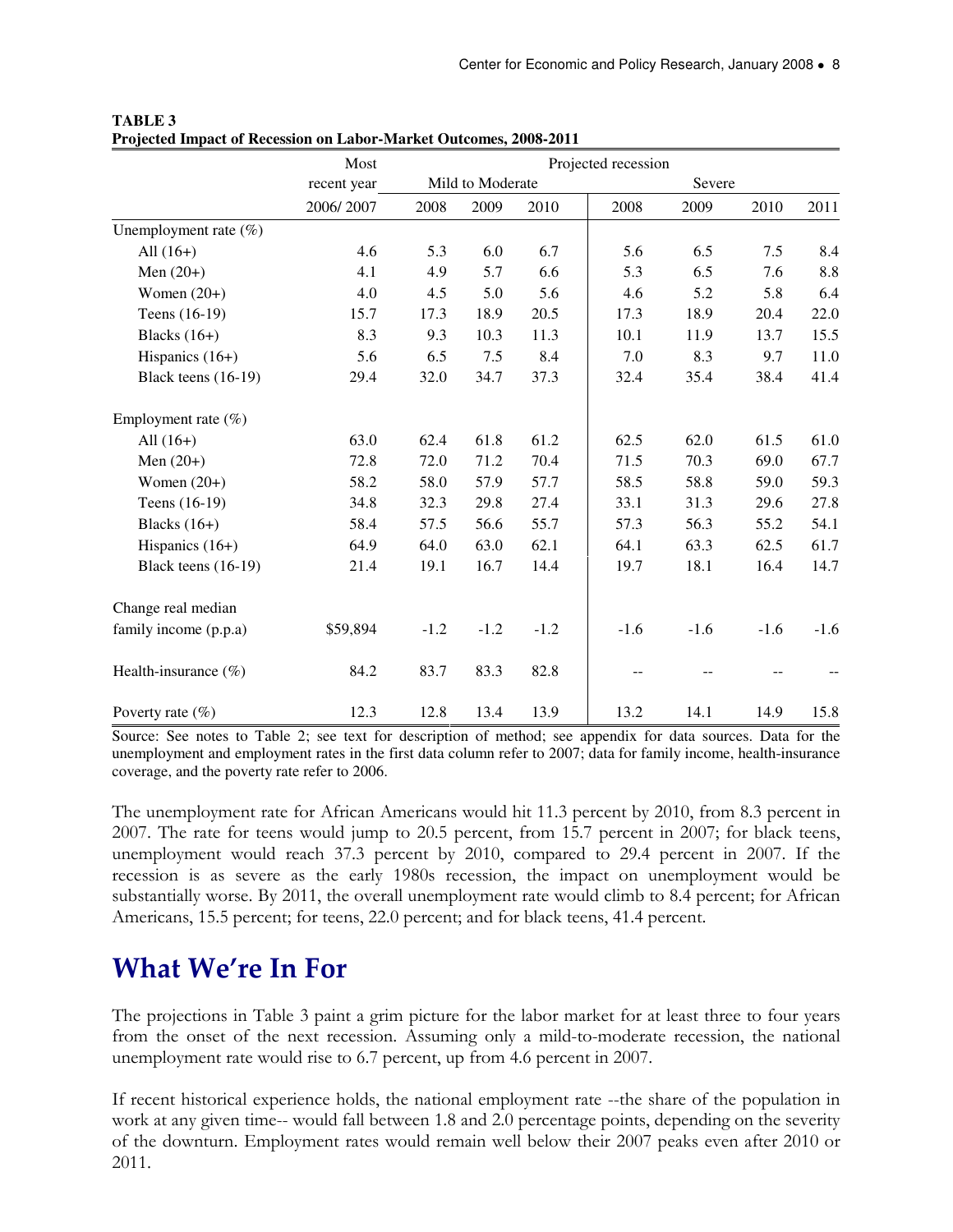|                          | Most        |                  |        |        | Projected recession |        |        |        |
|--------------------------|-------------|------------------|--------|--------|---------------------|--------|--------|--------|
|                          | recent year | Mild to Moderate |        |        | Severe              |        |        |        |
|                          | 2006/2007   | 2008             | 2009   | 2010   | 2008                | 2009   | 2010   | 2011   |
| Unemployment rate $(\%)$ |             |                  |        |        |                     |        |        |        |
| All $(16+)$              | 4.6         | 5.3              | 6.0    | 6.7    | 5.6                 | 6.5    | 7.5    | 8.4    |
| Men $(20+)$              | 4.1         | 4.9              | 5.7    | 6.6    | 5.3                 | 6.5    | 7.6    | 8.8    |
| Women $(20+)$            | 4.0         | 4.5              | 5.0    | 5.6    | 4.6                 | 5.2    | 5.8    | 6.4    |
| Teens (16-19)            | 15.7        | 17.3             | 18.9   | 20.5   | 17.3                | 18.9   | 20.4   | 22.0   |
| Blacks $(16+)$           | 8.3         | 9.3              | 10.3   | 11.3   | 10.1                | 11.9   | 13.7   | 15.5   |
| Hispanics $(16+)$        | 5.6         | 6.5              | 7.5    | 8.4    | 7.0                 | 8.3    | 9.7    | 11.0   |
| Black teens (16-19)      | 29.4        | 32.0             | 34.7   | 37.3   | 32.4                | 35.4   | 38.4   | 41.4   |
| Employment rate $(\%)$   |             |                  |        |        |                     |        |        |        |
| All $(16+)$              | 63.0        | 62.4             | 61.8   | 61.2   | 62.5                | 62.0   | 61.5   | 61.0   |
| Men $(20+)$              | 72.8        | 72.0             | 71.2   | 70.4   | 71.5                | 70.3   | 69.0   | 67.7   |
| Women $(20+)$            | 58.2        | 58.0             | 57.9   | 57.7   | 58.5                | 58.8   | 59.0   | 59.3   |
| Teens (16-19)            | 34.8        | 32.3             | 29.8   | 27.4   | 33.1                | 31.3   | 29.6   | 27.8   |
| Blacks $(16+)$           | 58.4        | 57.5             | 56.6   | 55.7   | 57.3                | 56.3   | 55.2   | 54.1   |
| Hispanics $(16+)$        | 64.9        | 64.0             | 63.0   | 62.1   | 64.1                | 63.3   | 62.5   | 61.7   |
| Black teens (16-19)      | 21.4        | 19.1             | 16.7   | 14.4   | 19.7                | 18.1   | 16.4   | 14.7   |
| Change real median       |             |                  |        |        |                     |        |        |        |
| family income (p.p.a)    | \$59,894    | $-1.2$           | $-1.2$ | $-1.2$ | $-1.6$              | $-1.6$ | $-1.6$ | $-1.6$ |
| Health-insurance $(\%)$  | 84.2        | 83.7             | 83.3   | 82.8   |                     |        |        |        |
| Poverty rate $(\% )$     | 12.3        | 12.8             | 13.4   | 13.9   | 13.2                | 14.1   | 14.9   | 15.8   |

**TABLE 3 Projected Impact of Recession on Labor-Market Outcomes, 2008-2011** 

Source: See notes to Table 2; see text for description of method; see appendix for data sources. Data for the unemployment and employment rates in the first data column refer to 2007; data for family income, health-insurance coverage, and the poverty rate refer to 2006.

The unemployment rate for African Americans would hit 11.3 percent by 2010, from 8.3 percent in 2007. The rate for teens would jump to 20.5 percent, from 15.7 percent in 2007; for black teens, unemployment would reach 37.3 percent by 2010, compared to 29.4 percent in 2007. If the recession is as severe as the early 1980s recession, the impact on unemployment would be substantially worse. By 2011, the overall unemployment rate would climb to 8.4 percent; for African Americans, 15.5 percent; for teens, 22.0 percent; and for black teens, 41.4 percent.

### What We're In For

The projections in Table 3 paint a grim picture for the labor market for at least three to four years from the onset of the next recession. Assuming only a mild-to-moderate recession, the national unemployment rate would rise to 6.7 percent, up from 4.6 percent in 2007.

If recent historical experience holds, the national employment rate --the share of the population in work at any given time-- would fall between 1.8 and 2.0 percentage points, depending on the severity of the downturn. Employment rates would remain well below their 2007 peaks even after 2010 or 2011.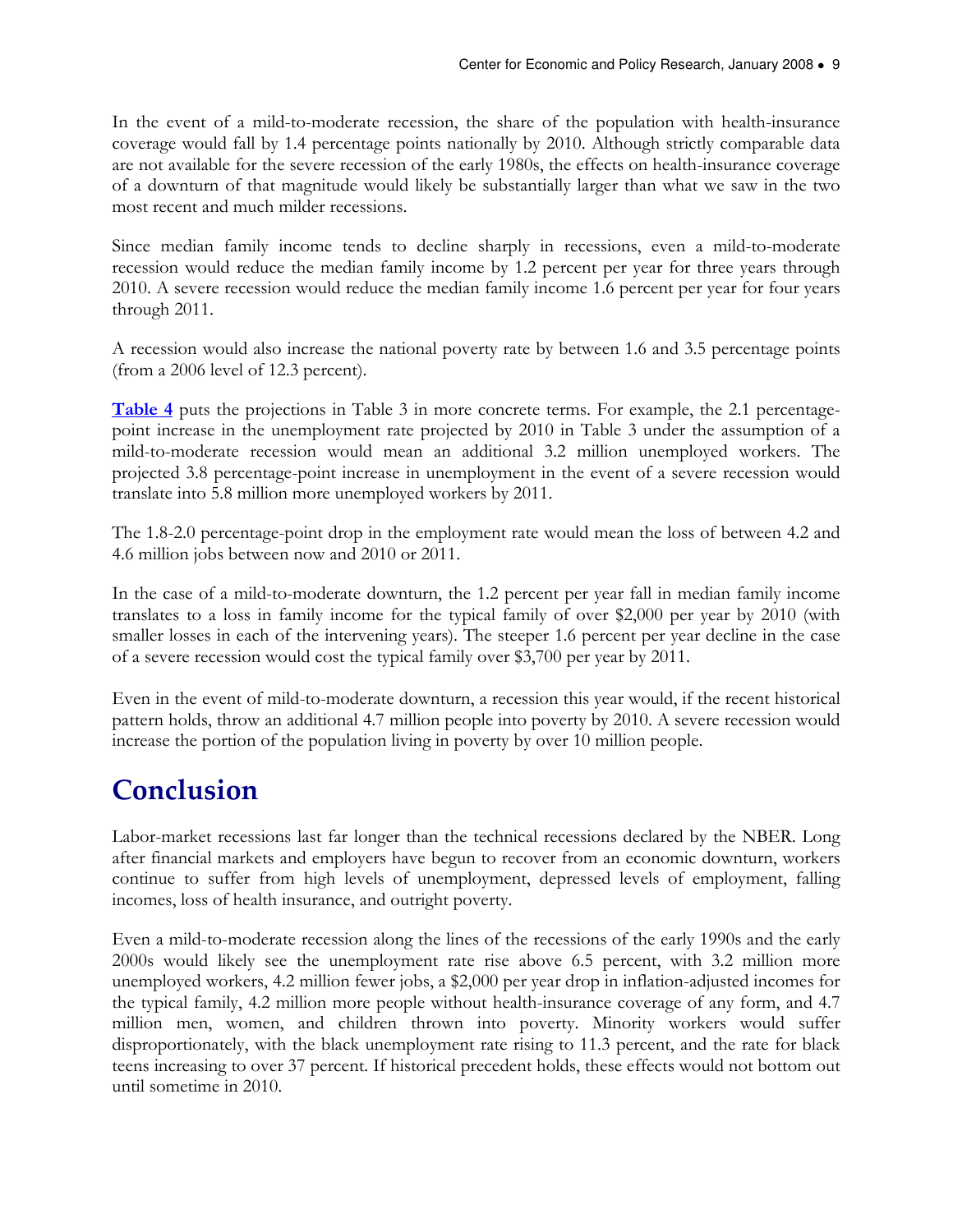In the event of a mild-to-moderate recession, the share of the population with health-insurance coverage would fall by 1.4 percentage points nationally by 2010. Although strictly comparable data are not available for the severe recession of the early 1980s, the effects on health-insurance coverage of a downturn of that magnitude would likely be substantially larger than what we saw in the two most recent and much milder recessions.

Since median family income tends to decline sharply in recessions, even a mild-to-moderate recession would reduce the median family income by 1.2 percent per year for three years through 2010. A severe recession would reduce the median family income 1.6 percent per year for four years through 2011.

A recession would also increase the national poverty rate by between 1.6 and 3.5 percentage points (from a 2006 level of 12.3 percent).

Table 4 puts the projections in Table 3 in more concrete terms. For example, the 2.1 percentagepoint increase in the unemployment rate projected by 2010 in Table 3 under the assumption of a mild-to-moderate recession would mean an additional 3.2 million unemployed workers. The projected 3.8 percentage-point increase in unemployment in the event of a severe recession would translate into 5.8 million more unemployed workers by 2011.

The 1.8-2.0 percentage-point drop in the employment rate would mean the loss of between 4.2 and 4.6 million jobs between now and 2010 or 2011.

In the case of a mild-to-moderate downturn, the 1.2 percent per year fall in median family income translates to a loss in family income for the typical family of over \$2,000 per year by 2010 (with smaller losses in each of the intervening years). The steeper 1.6 percent per year decline in the case of a severe recession would cost the typical family over \$3,700 per year by 2011.

Even in the event of mild-to-moderate downturn, a recession this year would, if the recent historical pattern holds, throw an additional 4.7 million people into poverty by 2010. A severe recession would increase the portion of the population living in poverty by over 10 million people.

### Conclusion

Labor-market recessions last far longer than the technical recessions declared by the NBER. Long after financial markets and employers have begun to recover from an economic downturn, workers continue to suffer from high levels of unemployment, depressed levels of employment, falling incomes, loss of health insurance, and outright poverty.

Even a mild-to-moderate recession along the lines of the recessions of the early 1990s and the early 2000s would likely see the unemployment rate rise above 6.5 percent, with 3.2 million more unemployed workers, 4.2 million fewer jobs, a \$2,000 per year drop in inflation-adjusted incomes for the typical family, 4.2 million more people without health-insurance coverage of any form, and 4.7 million men, women, and children thrown into poverty. Minority workers would suffer disproportionately, with the black unemployment rate rising to 11.3 percent, and the rate for black teens increasing to over 37 percent. If historical precedent holds, these effects would not bottom out until sometime in 2010.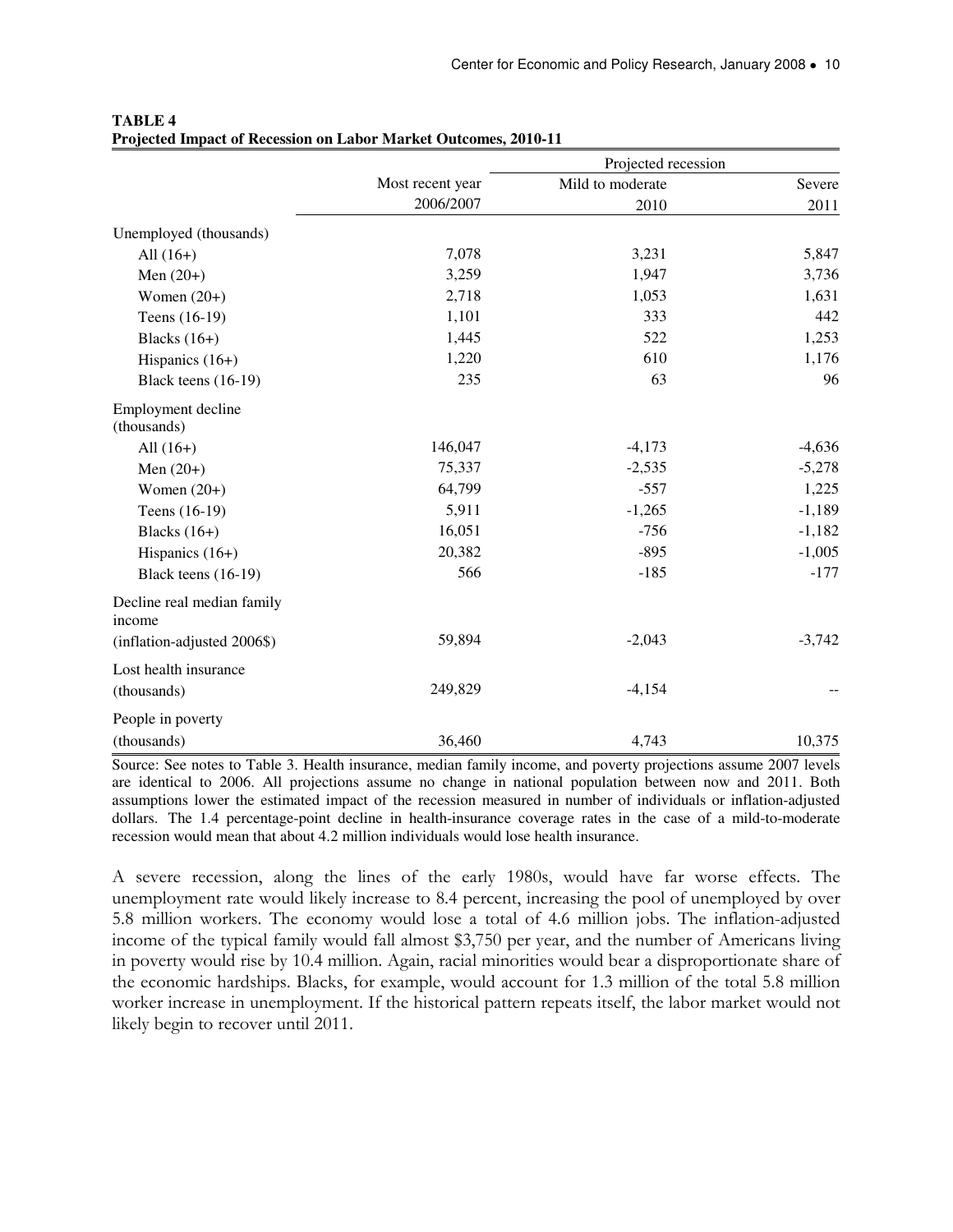|                                      |                  | Projected recession |          |
|--------------------------------------|------------------|---------------------|----------|
|                                      | Most recent year | Mild to moderate    | Severe   |
|                                      | 2006/2007        | 2010                | 2011     |
| Unemployed (thousands)               |                  |                     |          |
| All $(16+)$                          | 7,078            | 3,231               | 5,847    |
| Men $(20+)$                          | 3,259            | 1,947               | 3,736    |
| Women $(20+)$                        | 2,718            | 1,053               | 1,631    |
| Teens (16-19)                        | 1,101            | 333                 | 442      |
| Blacks $(16+)$                       | 1,445            | 522                 | 1,253    |
| Hispanics $(16+)$                    | 1,220            | 610                 | 1,176    |
| Black teens (16-19)                  | 235              | 63                  | 96       |
| Employment decline<br>(thousands)    |                  |                     |          |
| All $(16+)$                          | 146,047          | $-4,173$            | $-4,636$ |
| Men $(20+)$                          | 75,337           | $-2,535$            | $-5,278$ |
| Women $(20+)$                        | 64,799           | $-557$              | 1,225    |
| Teens (16-19)                        | 5,911            | $-1,265$            | $-1,189$ |
| Blacks $(16+)$                       | 16,051           | $-756$              | $-1,182$ |
| Hispanics $(16+)$                    | 20,382           | $-895$              | $-1,005$ |
| Black teens (16-19)                  | 566              | $-185$              | $-177$   |
| Decline real median family<br>income |                  |                     |          |
| (inflation-adjusted 2006\$)          | 59,894           | $-2,043$            | $-3,742$ |
| Lost health insurance                |                  |                     |          |
| (thousands)                          | 249,829          | $-4,154$            |          |
| People in poverty                    |                  |                     |          |
| (thousands)                          | 36,460           | 4,743               | 10,375   |

#### **TABLE 4 Projected Impact of Recession on Labor Market Outcomes, 2010-11**

Source: See notes to Table 3. Health insurance, median family income, and poverty projections assume 2007 levels are identical to 2006. All projections assume no change in national population between now and 2011. Both assumptions lower the estimated impact of the recession measured in number of individuals or inflation-adjusted dollars. The 1.4 percentage-point decline in health-insurance coverage rates in the case of a mild-to-moderate recession would mean that about 4.2 million individuals would lose health insurance.

A severe recession, along the lines of the early 1980s, would have far worse effects. The unemployment rate would likely increase to 8.4 percent, increasing the pool of unemployed by over 5.8 million workers. The economy would lose a total of 4.6 million jobs. The inflation-adjusted income of the typical family would fall almost \$3,750 per year, and the number of Americans living in poverty would rise by 10.4 million. Again, racial minorities would bear a disproportionate share of the economic hardships. Blacks, for example, would account for 1.3 million of the total 5.8 million worker increase in unemployment. If the historical pattern repeats itself, the labor market would not likely begin to recover until 2011.